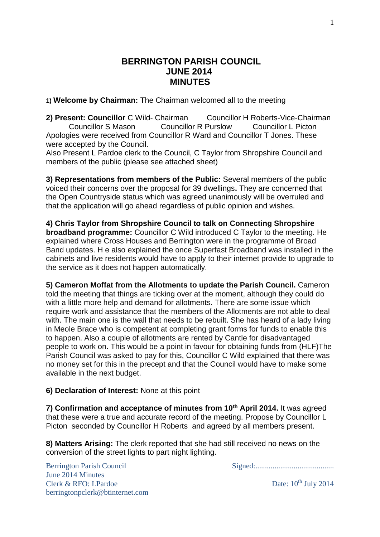## **BERRINGTON PARISH COUNCIL JUNE 2014 MINUTES**

**1) Welcome by Chairman:** The Chairman welcomed all to the meeting

**2) Present: Councillor** C Wild- Chairman Councillor H Roberts-Vice-Chairman Councillor S Mason Councillor R Purslow Councillor L Picton Apologies were received from Councillor R Ward and Councillor T Jones. These were accepted by the Council.

Also Present L Pardoe clerk to the Council, C Taylor from Shropshire Council and members of the public (please see attached sheet)

**3) Representations from members of the Public:** Several members of the public voiced their concerns over the proposal for 39 dwellings**.** They are concerned that the Open Countryside status which was agreed unanimously will be overruled and that the application will go ahead regardless of public opinion and wishes.

**4) Chris Taylor from Shropshire Council to talk on Connecting Shropshire broadband programme:** Councillor C Wild introduced C Taylor to the meeting. He explained where Cross Houses and Berrington were in the programme of Broad Band updates. H e also explained the once Superfast Broadband was installed in the cabinets and live residents would have to apply to their internet provide to upgrade to the service as it does not happen automatically.

**5) Cameron Moffat from the Allotments to update the Parish Council.** Cameron told the meeting that things are ticking over at the moment, although they could do with a little more help and demand for allotments. There are some issue which require work and assistance that the members of the Allotments are not able to deal with. The main one is the wall that needs to be rebuilt. She has heard of a lady living in Meole Brace who is competent at completing grant forms for funds to enable this to happen. Also a couple of allotments are rented by Cantle for disadvantaged people to work on. This would be a point in favour for obtaining funds from (HLF)The Parish Council was asked to pay for this, Councillor C Wild explained that there was no money set for this in the precept and that the Council would have to make some available in the next budget.

#### **6) Declaration of Interest:** None at this point

**7) Confirmation and acceptance of minutes from 10th April 2014.** It was agreed that these were a true and accurate record of the meeting. Propose by Councillor L Picton seconded by Councillor H Roberts and agreed by all members present.

**8) Matters Arising:** The clerk reported that she had still received no news on the conversion of the street lights to part night lighting.

June 2014 Minutes Clerk & RFO: LPardoe Date: 10<sup>th</sup> July 2014 berringtonpclerk@btinternet.com

Berrington Parish Council Signed:.........................................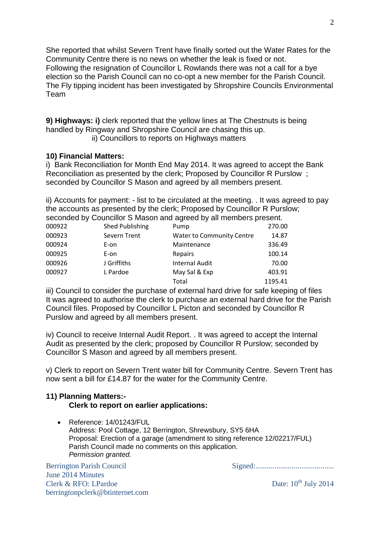She reported that whilst Severn Trent have finally sorted out the Water Rates for the Community Centre there is no news on whether the leak is fixed or not. Following the resignation of Councillor L Rowlands there was not a call for a bye election so the Parish Council can no co-opt a new member for the Parish Council. The Fly tipping incident has been investigated by Shropshire Councils Environmental Team

**9) Highways: i)** clerk reported that the yellow lines at The Chestnuts is being handled by Ringway and Shropshire Council are chasing this up.

ii) Councillors to reports on Highways matters

## **10) Financial Matters:**

i) Bank Reconciliation for Month End May 2014. It was agreed to accept the Bank Reconciliation as presented by the clerk; Proposed by Councillor R Purslow ; seconded by Councillor S Mason and agreed by all members present.

ii) Accounts for payment: - list to be circulated at the meeting. . It was agreed to pay the accounts as presented by the clerk; Proposed by Councillor R Purslow; seconded by Councillor S Mason and agreed by all members present.

| 000922 | Shed Publishing | Pump                      | 270.00  |
|--------|-----------------|---------------------------|---------|
| 000923 | Severn Trent    | Water to Community Centre | 14.87   |
| 000924 | E-on            | Maintenance               | 336.49  |
| 000925 | E-on            | Repairs                   | 100.14  |
| 000926 | J Griffiths     | <b>Internal Audit</b>     | 70.00   |
| 000927 | L Pardoe        | May Sal & Exp             | 403.91  |
|        |                 | Total                     | 1195.41 |

iii) Council to consider the purchase of external hard drive for safe keeping of files It was agreed to authorise the clerk to purchase an external hard drive for the Parish Council files. Proposed by Councillor L Picton and seconded by Councillor R Purslow and agreed by all members present.

iv) Council to receive Internal Audit Report. . It was agreed to accept the Internal Audit as presented by the clerk; proposed by Councillor R Purslow; seconded by Councillor S Mason and agreed by all members present.

v) Clerk to report on Severn Trent water bill for Community Centre. Severn Trent has now sent a bill for £14.87 for the water for the Community Centre.

#### **11) Planning Matters:- Clerk to report on earlier applications:**

• Reference: 14/01243/FUL Address: Pool Cottage, 12 Berrington, Shrewsbury, SY5 6HA Proposal: Erection of a garage (amendment to siting reference 12/02217/FUL) Parish Council made no comments on this application. *Permission granted.*

Berrington Parish Council Signed:......................................... June 2014 Minutes Clerk & RFO: LPardoe Date: 10<sup>th</sup> July 2014 berringtonpclerk@btinternet.com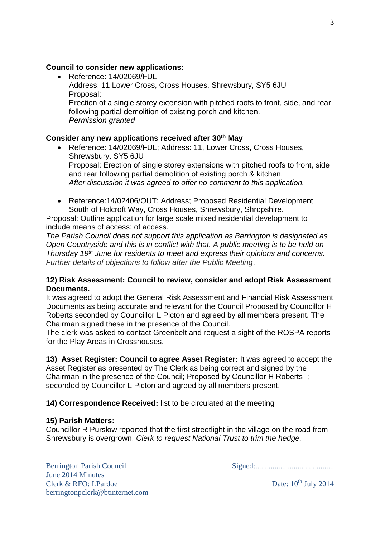## **Council to consider new applications:**

 Reference: 14/02069/FUL Address: 11 Lower Cross, Cross Houses, Shrewsbury, SY5 6JU Proposal: Erection of a single storey extension with pitched roofs to front, side, and rear following partial demolition of existing porch and kitchen. *Permission granted*

## **Consider any new applications received after 30th May**

- Reference: 14/02069/FUL; Address: 11, Lower Cross, Cross Houses, Shrewsbury. SY5 6JU Proposal: Erection of single storey extensions with pitched roofs to front, side and rear following partial demolition of existing porch & kitchen. *After discussion it was agreed to offer no comment to this application.*
- Reference:14/02406/OUT; Address; Proposed Residential Development South of Holcroft Way, Cross Houses, Shrewsbury, Shropshire.

Proposal: Outline application for large scale mixed residential development to include means of access: of access.

*The Parish Council does not support this application as Berrington is designated as Open Countryside and this is in conflict with that. A public meeting is to be held on Thursday 19th June for residents to meet and express their opinions and concerns. Further details of objections to follow after the Public Meeting*.

#### **12) Risk Assessment: Council to review, consider and adopt Risk Assessment Documents.**

It was agreed to adopt the General Risk Assessment and Financial Risk Assessment Documents as being accurate and relevant for the Council Proposed by Councillor H Roberts seconded by Councillor L Picton and agreed by all members present. The Chairman signed these in the presence of the Council.

The clerk was asked to contact Greenbelt and request a sight of the ROSPA reports for the Play Areas in Crosshouses.

# **13) Asset Register: Council to agree Asset Register:** It was agreed to accept the

Asset Register as presented by The Clerk as being correct and signed by the Chairman in the presence of the Council; Proposed by Councillor H Roberts ; seconded by Councillor L Picton and agreed by all members present.

#### **14) Correspondence Received:** list to be circulated at the meeting

#### **15) Parish Matters:**

Councillor R Purslow reported that the first streetlight in the village on the road from Shrewsbury is overgrown. *Clerk to request National Trust to trim the hedge.*

Berrington Parish Council Signed:......................................... June 2014 Minutes Clerk & RFO: LPardoe Date: 10<sup>th</sup> July 2014 berringtonpclerk@btinternet.com